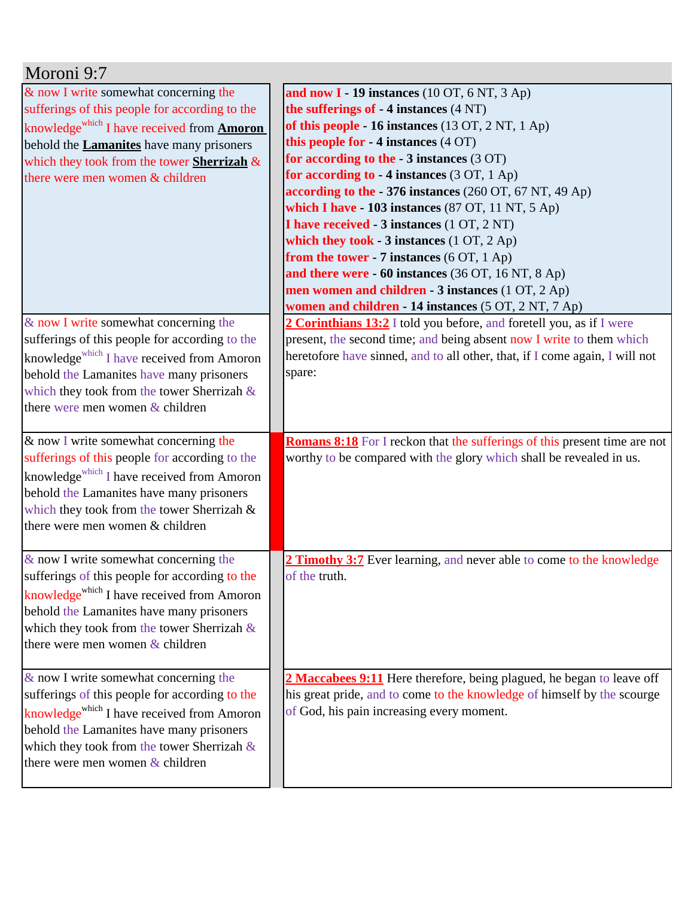| Moroni 9:7                                                                                                                                                                                                                                                                                      |                                                                                                                                                                                                                                                                                                                                                                                                                                                                                                                                                                                                                                                                                                                                  |
|-------------------------------------------------------------------------------------------------------------------------------------------------------------------------------------------------------------------------------------------------------------------------------------------------|----------------------------------------------------------------------------------------------------------------------------------------------------------------------------------------------------------------------------------------------------------------------------------------------------------------------------------------------------------------------------------------------------------------------------------------------------------------------------------------------------------------------------------------------------------------------------------------------------------------------------------------------------------------------------------------------------------------------------------|
| & now I write somewhat concerning the<br>sufferings of this people for according to the<br>knowledge <sup>which</sup> I have received from <b>Amoron</b><br>behold the <b>Lamanites</b> have many prisoners<br>which they took from the tower Sherrizah $\&$<br>there were men women & children | and now $I - 19$ instances (10 OT, 6 NT, 3 Ap)<br>the sufferings of $-4$ instances $(4 \text{ NT})$<br>of this people - 16 instances (13 OT, 2 NT, 1 Ap)<br>this people for - 4 instances (4 OT)<br>for according to the $-3$ instances (3 OT)<br>for according to - 4 instances (3 OT, 1 Ap)<br>according to the - 376 instances (260 OT, 67 NT, 49 Ap)<br>which I have $-103$ instances (87 OT, 11 NT, 5 Ap)<br>I have received - 3 instances (1 OT, 2 NT)<br>which they took - 3 instances $(1 OT, 2 Ap)$<br>from the tower - 7 instances $(6$ OT, $1$ Ap)<br>and there were - 60 instances (36 OT, 16 NT, 8 Ap)<br>men women and children - 3 instances (1 OT, 2 Ap)<br>women and children - 14 instances (5 OT, 2 NT, 7 Ap) |
| & now I write somewhat concerning the<br>sufferings of this people for according to the<br>knowledge <sup>which</sup> I have received from Amoron<br>behold the Lamanites have many prisoners<br>which they took from the tower Sherrizah $\&$<br>there were men women & children               | 2 Corinthians 13:2 I told you before, and foretell you, as if I were<br>present, the second time; and being absent now I write to them which<br>heretofore have sinned, and to all other, that, if I come again, I will not<br>spare:                                                                                                                                                                                                                                                                                                                                                                                                                                                                                            |
| & now I write somewhat concerning the<br>sufferings of this people for according to the<br>knowledge <sup>which</sup> I have received from Amoron<br>behold the Lamanites have many prisoners<br>which they took from the tower Sherrizah &<br>there were men women & children                  | <b>Romans 8:18</b> For I reckon that the sufferings of this present time are not<br>worthy to be compared with the glory which shall be revealed in us.                                                                                                                                                                                                                                                                                                                                                                                                                                                                                                                                                                          |
| $&$ now I write somewhat concerning the<br>sufferings of this people for according to the<br>knowledge <sup>which</sup> I have received from Amoron<br>behold the Lamanites have many prisoners<br>which they took from the tower Sherrizah $\&$<br>there were men women $&$ children           | 2 Timothy 3:7 Ever learning, and never able to come to the knowledge<br>of the truth.                                                                                                                                                                                                                                                                                                                                                                                                                                                                                                                                                                                                                                            |
| & now I write somewhat concerning the<br>sufferings of this people for according to the<br>knowledge <sup>which</sup> I have received from Amoron<br>behold the Lamanites have many prisoners<br>which they took from the tower Sherrizah $\&$<br>there were men women $&$ children             | 2 Maccabees 9:11 Here therefore, being plagued, he began to leave off<br>his great pride, and to come to the knowledge of himself by the scourge<br>of God, his pain increasing every moment.                                                                                                                                                                                                                                                                                                                                                                                                                                                                                                                                    |